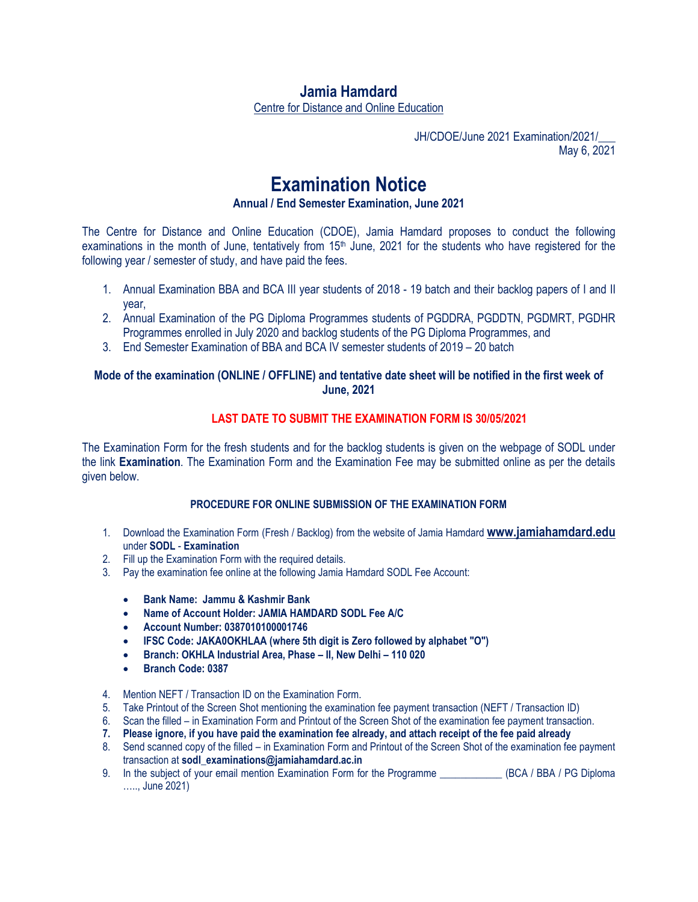## **Jamia Hamdard**

Centre for Distance and Online Education

JH/CDOE/June 2021 Examination/2021/\_\_\_ May 6, 2021

# **Examination Notice**

**Annual / End Semester Examination, June 2021**

The Centre for Distance and Online Education (CDOE), Jamia Hamdard proposes to conduct the following examinations in the month of June, tentatively from 15<sup>th</sup> June, 2021 for the students who have registered for the following year / semester of study, and have paid the fees.

- 1. Annual Examination BBA and BCA III year students of 2018 19 batch and their backlog papers of I and II year,
- 2. Annual Examination of the PG Diploma Programmes students of PGDDRA, PGDDTN, PGDMRT, PGDHR Programmes enrolled in July 2020 and backlog students of the PG Diploma Programmes, and
- 3. End Semester Examination of BBA and BCA IV semester students of 2019 20 batch

#### **Mode of the examination (ONLINE / OFFLINE) and tentative date sheet will be notified in the first week of June, 2021**

### **LAST DATE TO SUBMIT THE EXAMINATION FORM IS 30/05/2021**

The Examination Form for the fresh students and for the backlog students is given on the webpage of SODL under the link **Examination**. The Examination Form and the Examination Fee may be submitted online as per the details given below.

#### **PROCEDURE FOR ONLINE SUBMISSION OF THE EXAMINATION FORM**

- 1. Download the Examination Form (Fresh / Backlog) from the website of Jamia Hamdard **[www.jamiahamdard.edu](http://www.jamiahamdard.edu/)** under **SODL** - **Examination**
- 2. Fill up the Examination Form with the required details.
- 3. Pay the examination fee online at the following Jamia Hamdard SODL Fee Account:
	- **Bank Name: Jammu & Kashmir Bank**
	- **Name of Account Holder: JAMIA HAMDARD SODL Fee A/C**
	- **Account Number: 0387010100001746**
	- **IFSC Code: JAKA0OKHLAA (where 5th digit is Zero followed by alphabet "O")**
	- **Branch: OKHLA Industrial Area, Phase – II, New Delhi – 110 020**
	- **Branch Code: 0387**
- 4. Mention NEFT / Transaction ID on the Examination Form.
- 5. Take Printout of the Screen Shot mentioning the examination fee payment transaction (NEFT / Transaction ID)
- 6. Scan the filled in Examination Form and Printout of the Screen Shot of the examination fee payment transaction.
- **7. Please ignore, if you have paid the examination fee already, and attach receipt of the fee paid already**
- 8. Send scanned copy of the filled in Examination Form and Printout of the Screen Shot of the examination fee payment transaction at **sodl\_examinations@jamiahamdard.ac.in**
- 9. In the subject of your email mention Examination Form for the Programme \_\_\_\_\_\_\_\_\_\_\_\_ (BCA / BBA / PG Diploma ….., June 2021)